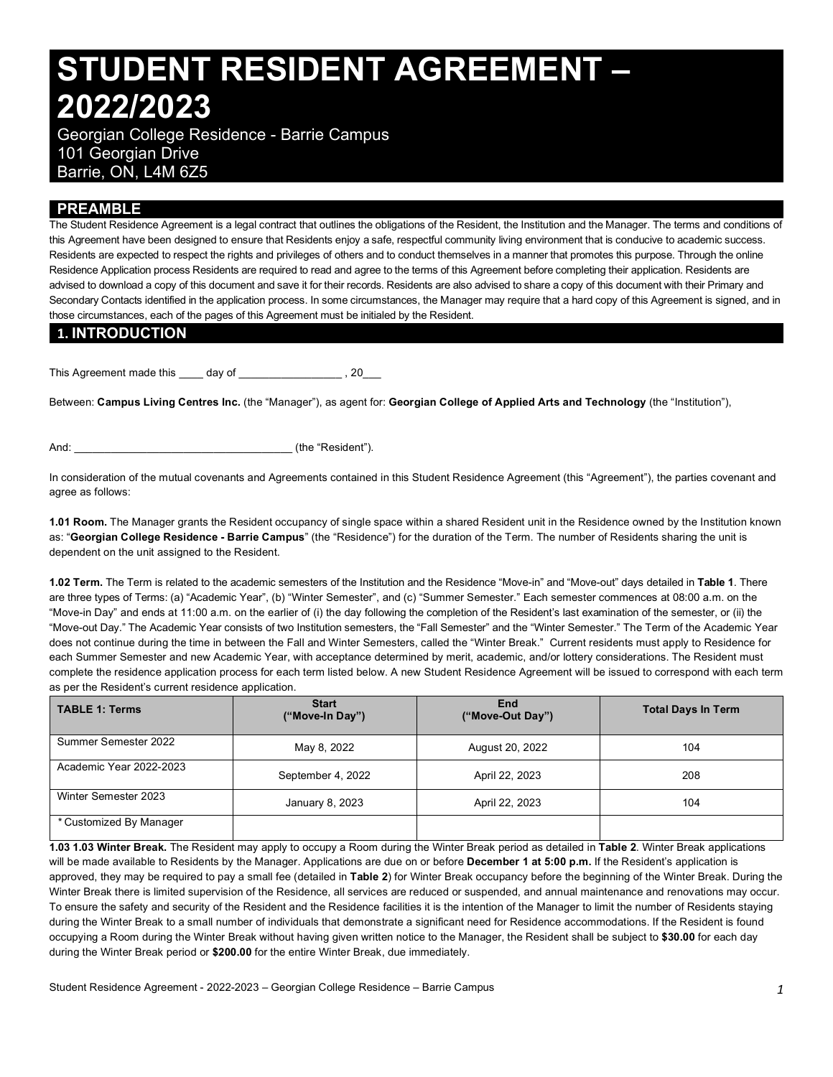# **STUDENT RESIDENT AGREEMENT – 2022/2023**

 Georgian College Residence - Barrie Campus 101 Georgian Drive Barrie, ON, L4M 6Z5

## **PREAMBLE**

 The Student Residence Agreement is a legal contract that outlines the obligations of the Resident, the Institution and the Manager. The terms and conditions of this Agreement have been designed to ensure that Residents enjoy a safe, respectful community living environment that is conducive to academic success. Residents are expected to respect the rights and privileges of others and to conduct themselves in a manner that promotes this purpose. Through the online Residence Application process Residents are required to read and agree to the terms of this Agreement before completing their application. Residents are advised to download a copy of this document and save it for their records. Residents are also advised to share a copy of this document with their Primary and Secondary Contacts identified in the application process. In some circumstances, the Manager may require that a hard copy of this Agreement is signed, and in those circumstances, each of the pages of this Agreement must be initialed by the Resident.

## **1. INTRODUCTION**

This Agreement made this \_\_\_\_ day of \_\_\_\_\_\_\_\_\_\_\_\_\_\_\_\_\_\_\_, 20\_\_\_

 Between: **Campus Living Centres Inc.** (the "Manager"), as agent for: **Georgian College of Applied Arts and Technology** (the "Institution"),

And:  $\qquad \qquad$  (the "Resident").

 In consideration of the mutual covenants and Agreements contained in this Student Residence Agreement (this "Agreement"), the parties covenant and agree as follows:

 **1.01 Room.** The Manager grants the Resident occupancy of single space within a shared Resident unit in the Residence owned by the Institution known  as: "**Georgian College Residence - Barrie Campus**" (the "Residence") for the duration of the Term. The number of Residents sharing the unit is dependent on the unit assigned to the Resident.

 **1.02 Term.** The Term is related to the academic semesters of the Institution and the Residence "Move-in" and "Move-out" days detailed in **Table 1**. There are three types of Terms: (a) "Academic Year", (b) "Winter Semester", and (c) "Summer Semester." Each semester commences at 08:00 a.m. on the "Move-in Day" and ends at 11:00 a.m. on the earlier of (i) the day following the completion of the Resident's last examination of the semester, or (ii) the "Move-out Day." The Academic Year consists of two Institution semesters, the "Fall Semester" and the "Winter Semester." The Term of the Academic Year does not continue during the time in between the Fall and Winter Semesters, called the "Winter Break." Current residents must apply to Residence for each Summer Semester and new Academic Year, with acceptance determined by merit, academic, and/or lottery considerations. The Resident must complete the residence application process for each term listed below. A new Student Residence Agreement will be issued to correspond with each term as per the Resident's current residence application.

| <b>TABLE 1: Terms</b>   | <b>Start</b><br>("Move-In Day") | End<br>("Move-Out Day") | <b>Total Days In Term</b> |
|-------------------------|---------------------------------|-------------------------|---------------------------|
| Summer Semester 2022    | May 8, 2022                     | August 20, 2022         | 104                       |
| Academic Year 2022-2023 | September 4, 2022               | April 22, 2023          | 208                       |
| Winter Semester 2023    | January 8, 2023                 | April 22, 2023          | 104                       |
| * Customized By Manager |                                 |                         |                           |

 **1.03 1.03 Winter Break.** The Resident may apply to occupy a Room during the Winter Break period as detailed in **Table 2**. Winter Break applications will be made available to Residents by the Manager. Applications are due on or before **December 1 at 5:00 p.m.** If the Resident's application is approved, they may be required to pay a small fee (detailed in **Table 2**) for Winter Break occupancy before the beginning of the Winter Break. During the Winter Break there is limited supervision of the Residence, all services are reduced or suspended, and annual maintenance and renovations may occur. To ensure the safety and security of the Resident and the Residence facilities it is the intention of the Manager to limit the number of Residents staying during the Winter Break to a small number of individuals that demonstrate a significant need for Residence accommodations. If the Resident is found occupying a Room during the Winter Break without having given written notice to the Manager, the Resident shall be subject to **\$30.00** for each day during the Winter Break period or **\$200.00** for the entire Winter Break, due immediately.

Student Residence Agreement - 2022-2023 – Georgian College Residence – Barrie Campus *1*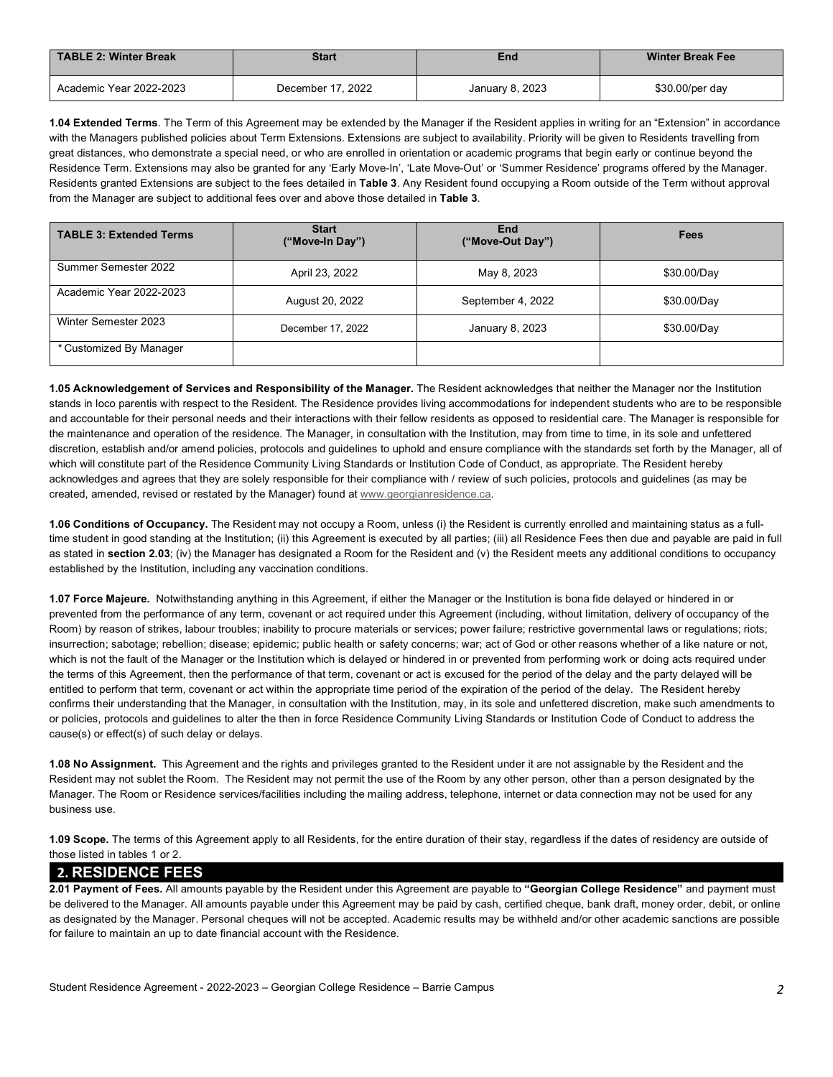| TABLE 2: Winter Break<br><b>Start</b> |                   | End             | <b>Winter Break Fee</b> |  |
|---------------------------------------|-------------------|-----------------|-------------------------|--|
| Academic Year 2022-2023               | December 17, 2022 | January 8, 2023 | \$30.00/per day         |  |

 **1.04 Extended Terms**. The Term of this Agreement may be extended by the Manager if the Resident applies in writing for an "Extension" in accordance with the Managers published policies about Term Extensions. Extensions are subject to availability. Priority will be given to Residents travelling from great distances, who demonstrate a special need, or who are enrolled in orientation or academic programs that begin early or continue beyond the Residence Term. Extensions may also be granted for any 'Early Move-In', 'Late Move-Out' or 'Summer Residence' programs offered by the Manager. Residents granted Extensions are subject to the fees detailed in **Table 3**. Any Resident found occupying a Room outside of the Term without approval from the Manager are subject to additional fees over and above those detailed in **Table 3**.

| <b>TABLE 3: Extended Terms</b> | <b>Start</b><br>("Move-In Day") | End<br>("Move-Out Day") | Fees        |
|--------------------------------|---------------------------------|-------------------------|-------------|
| Summer Semester 2022           | April 23, 2022                  | May 8, 2023             | \$30.00/Day |
| Academic Year 2022-2023        | August 20, 2022                 | September 4, 2022       | \$30.00/Day |
| Winter Semester 2023           | December 17, 2022               | January 8, 2023         | \$30.00/Day |
| * Customized By Manager        |                                 |                         |             |

 **1.05 Acknowledgement of Services and Responsibility of the Manager.** The Resident acknowledges that neither the Manager nor the Institution stands in loco parentis with respect to the Resident. The Residence provides living accommodations for independent students who are to be responsible and accountable for their personal needs and their interactions with their fellow residents as opposed to residential care. The Manager is responsible for the maintenance and operation of the residence. The Manager, in consultation with the Institution, may from time to time, in its sole and unfettered discretion, establish and/or amend policies, protocols and guidelines to uphold and ensure compliance with the standards set forth by the Manager, all of which will constitute part of the Residence Community Living Standards or Institution Code of Conduct, as appropriate. The Resident hereby acknowledges and agrees that they are solely responsible for their compliance with / review of such policies, protocols and guidelines (as may be created, amended, revised or restated by the Manager) found at [www.georgianresidence.ca.](www.georgianresidence.ca)

 time student in good standing at the Institution; (ii) this Agreement is executed by all parties; (iii) all Residence Fees then due and payable are paid in full as stated in **section 2.03**; (iv) the Manager has designated a Room for the Resident and (v) the Resident meets any additional conditions to occupancy **1.06 Conditions of Occupancy.** The Resident may not occupy a Room, unless (i) the Resident is currently enrolled and maintaining status as a fullestablished by the Institution, including any vaccination conditions.

 **1.07 Force Majeure.** Notwithstanding anything in this Agreement, if either the Manager or the Institution is bona fide delayed or hindered in or prevented from the performance of any term, covenant or act required under this Agreement (including, without limitation, delivery of occupancy of the Room) by reason of strikes, labour troubles; inability to procure materials or services; power failure; restrictive governmental laws or regulations; riots; insurrection; sabotage; rebellion; disease; epidemic; public health or safety concerns; war; act of God or other reasons whether of a like nature or not, which is not the fault of the Manager or the Institution which is delayed or hindered in or prevented from performing work or doing acts required under the terms of this Agreement, then the performance of that term, covenant or act is excused for the period of the delay and the party delayed will be entitled to perform that term, covenant or act within the appropriate time period of the expiration of the period of the delay. The Resident hereby confirms their understanding that the Manager, in consultation with the Institution, may, in its sole and unfettered discretion, make such amendments to or policies, protocols and guidelines to alter the then in force Residence Community Living Standards or Institution Code of Conduct to address the cause(s) or effect(s) of such delay or delays.

 **1.08 No Assignment.** This Agreement and the rights and privileges granted to the Resident under it are not assignable by the Resident and the Resident may not sublet the Room. The Resident may not permit the use of the Room by any other person, other than a person designated by the Manager. The Room or Residence services/facilities including the mailing address, telephone, internet or data connection may not be used for any business use.

 **1.09 Scope.** The terms of this Agreement apply to all Residents, for the entire duration of their stay, regardless if the dates of residency are outside of those listed in tables 1 or 2.

## **2. RESIDENCE FEES**

 **2.01 Payment of Fees.** All amounts payable by the Resident under this Agreement are payable to **"Georgian College Residence"** and payment must be delivered to the Manager. All amounts payable under this Agreement may be paid by cash, certified cheque, bank draft, money order, debit, or online as designated by the Manager. Personal cheques will not be accepted. Academic results may be withheld and/or other academic sanctions are possible for failure to maintain an up to date financial account with the Residence.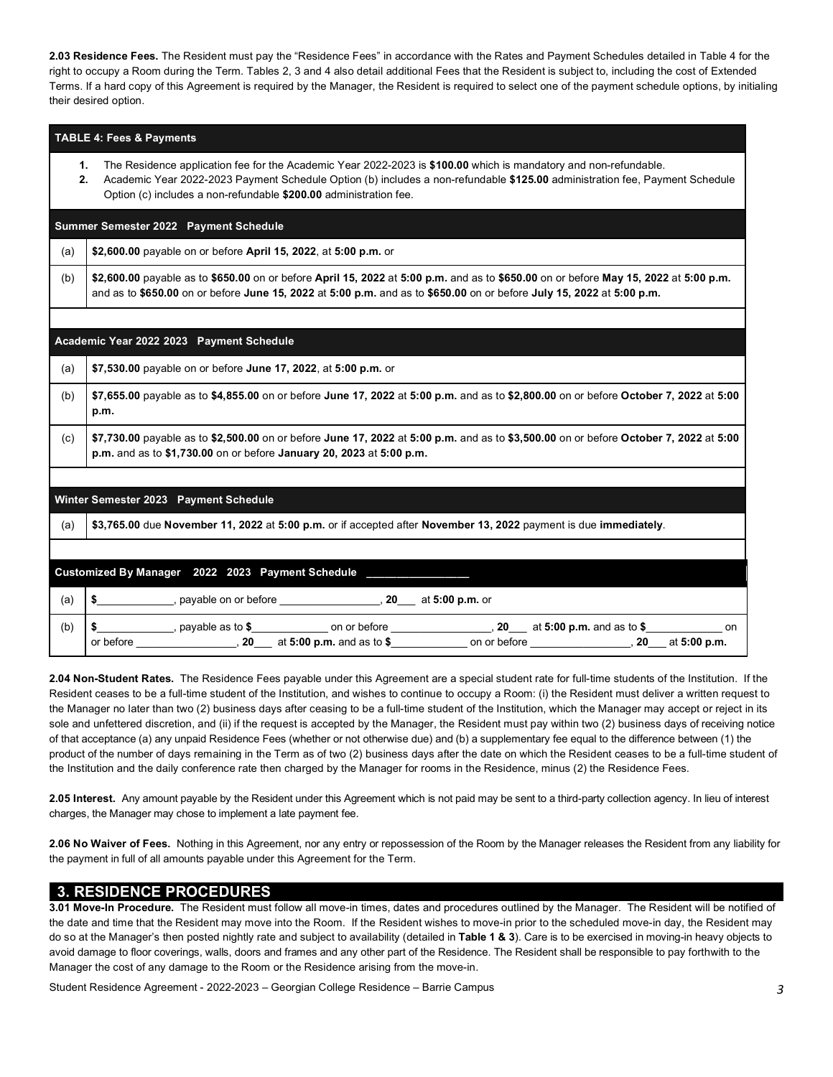**2.03 Residence Fees.** The Resident must pay the "Residence Fees" in accordance with the Rates and Payment Schedules detailed in Table 4 for the right to occupy a Room during the Term. Tables 2, 3 and 4 also detail additional Fees that the Resident is subject to, including the cost of Extended Terms. If a hard copy of this Agreement is required by the Manager, the Resident is required to select one of the payment schedule options, by initialing their desired option.

### **TABLE 4: Fees & Payments**

- **1.** The Residence application fee for the Academic Year 2022-2023 is **\$100.00** which is mandatory and non-refundable.
- **2.** Academic Year 2022-2023 Payment Schedule Option (b) includes a non-refundable **\$125.00** administration fee, Payment Schedule Option (c) includes a non-refundable **\$200.00** administration fee.

### **- Summer Semester 2022 Payment Schedule**

(a) **\$2,600.00** payable on or before **April 15, 2022**, at **5:00 p.m.** or

 (b) **\$2,600.00** payable as to **\$650.00** on or before **April 15, 2022** at **5:00 p.m.** and as to **\$650.00** on or before **May 15, 2022** at **5:00 p.m.**  and as to **\$650.00** on or before **June 15, 2022** at **5:00 p.m.** and as to **\$650.00** on or before **July 15, 2022** at **5:00 p.m.** 

#### **- - Academic Year 2022 2023 Payment Schedule**

(a) **\$7,530.00** payable on or before **June 17, 2022**, at **5:00 p.m.** or

 (b) **\$7,655.00** payable as to **\$4,855.00** on or before **June 17, 2022** at **5:00 p.m.** and as to **\$2,800.00** on or before **October 7, 2022** at **5:00 p.m.** 

## (c) **\$7,730.00** payable as to **\$2,500.00** on or before **June 17, 2022** at **5:00 p.m.** and as to **\$3,500.00** on or before **October 7, 2022** at **5:00 p.m.** and as to **\$1,730.00** on or before **January 20, 2023** at **5:00 p.m.**

## **- Winter Semester 2023 Payment Schedule**

(a) **\$3,765.00** due **November 11, 2022** at **5:00 p.m.** or if accepted after **November 13, 2022** payment is due **immediately**.

|     | Customized By Manager 2022 2023 Payment Schedule |                         |                                             |                    |                                   |                    |
|-----|--------------------------------------------------|-------------------------|---------------------------------------------|--------------------|-----------------------------------|--------------------|
| (a) |                                                  | payable on or before    | 20                                          | at 5:00 p.m. or    |                                   |                    |
| (b) | or before                                        | payable as to $$$<br>20 | on or before<br>at $5:00$ p.m. and as to \$ | 20<br>on or before | at $5:00$ p.m. and as to \$<br>20 | on<br>at 5:00 p.m. |

 **2.04 Non-Student Rates.** The Residence Fees payable under this Agreement are a special student rate for full-time students of the Institution. If the Resident ceases to be a full-time student of the Institution, and wishes to continue to occupy a Room: (i) the Resident must deliver a written request to the Manager no later than two (2) business days after ceasing to be a full-time student of the Institution, which the Manager may accept or reject in its sole and unfettered discretion, and (ii) if the request is accepted by the Manager, the Resident must pay within two (2) business days of receiving notice of that acceptance (a) any unpaid Residence Fees (whether or not otherwise due) and (b) a supplementary fee equal to the difference between (1) the product of the number of days remaining in the Term as of two (2) business days after the date on which the Resident ceases to be a full-time student of the Institution and the daily conference rate then charged by the Manager for rooms in the Residence, minus (2) the Residence Fees.

 **2.05 Interest.** Any amount payable by the Resident under this Agreement which is not paid may be sent to a third-party collection agency. In lieu of interest charges, the Manager may chose to implement a late payment fee.

 **2.06 No Waiver of Fees.** Nothing in this Agreement, nor any entry or repossession of the Room by the Manager releases the Resident from any liability for the payment in full of all amounts payable under this Agreement for the Term.

## **3. RESIDENCE PROCEDURES**

 **3.01 Move-In Procedure.** The Resident must follow all move-in times, dates and procedures outlined by the Manager. The Resident will be notified of the date and time that the Resident may move into the Room. If the Resident wishes to move-in prior to the scheduled move-in day, the Resident may do so at the Manager's then posted nightly rate and subject to availability (detailed in **Table 1 & 3**). Care is to be exercised in moving-in heavy objects to avoid damage to floor coverings, walls, doors and frames and any other part of the Residence. The Resident shall be responsible to pay forthwith to the Manager the cost of any damage to the Room or the Residence arising from the move-in.

Student Residence Agreement - 2022-2023 – Georgian College Residence – Barrie Campus *3*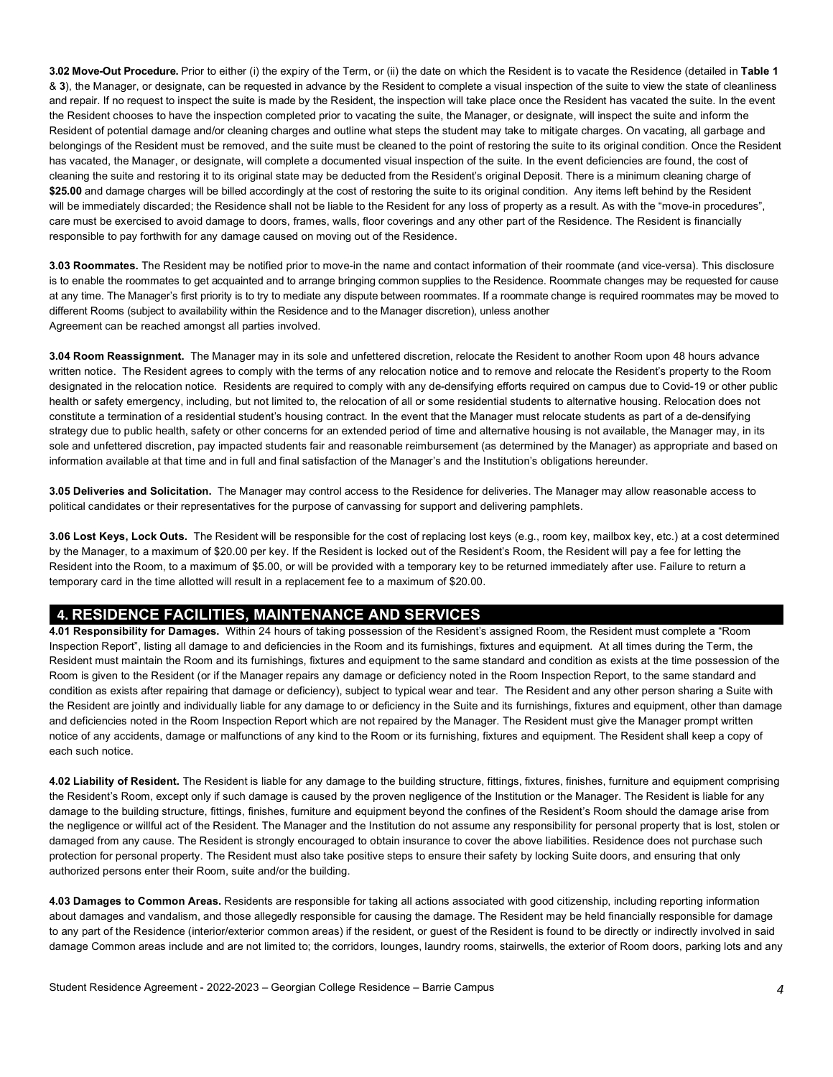**3.02 Move-Out Procedure.** Prior to either (i) the expiry of the Term, or (ii) the date on which the Resident is to vacate the Residence (detailed in **Table 1**  & **3**), the Manager, or designate, can be requested in advance by the Resident to complete a visual inspection of the suite to view the state of cleanliness and repair. If no request to inspect the suite is made by the Resident, the inspection will take place once the Resident has vacated the suite. In the event the Resident chooses to have the inspection completed prior to vacating the suite, the Manager, or designate, will inspect the suite and inform the Resident of potential damage and/or cleaning charges and outline what steps the student may take to mitigate charges. On vacating, all garbage and belongings of the Resident must be removed, and the suite must be cleaned to the point of restoring the suite to its original condition. Once the Resident has vacated, the Manager, or designate, will complete a documented visual inspection of the suite. In the event deficiencies are found, the cost of cleaning the suite and restoring it to its original state may be deducted from the Resident's original Deposit. There is a minimum cleaning charge of \$25.00 and damage charges will be billed accordingly at the cost of restoring the suite to its original condition. Any items left behind by the Resident will be immediately discarded; the Residence shall not be liable to the Resident for any loss of property as a result. As with the "move-in procedures", care must be exercised to avoid damage to doors, frames, walls, floor coverings and any other part of the Residence. The Resident is financially responsible to pay forthwith for any damage caused on moving out of the Residence.

 **3.03 Roommates.** The Resident may be notified prior to move-in the name and contact information of their roommate (and vice-versa). This disclosure is to enable the roommates to get acquainted and to arrange bringing common supplies to the Residence. Roommate changes may be requested for cause at any time. The Manager's first priority is to try to mediate any dispute between roommates. If a roommate change is required roommates may be moved to different Rooms (subject to availability within the Residence and to the Manager discretion), unless another Agreement can be reached amongst all parties involved.

 **3.04 Room Reassignment.** The Manager may in its sole and unfettered discretion, relocate the Resident to another Room upon 48 hours advance written notice. The Resident agrees to comply with the terms of any relocation notice and to remove and relocate the Resident's property to the Room designated in the relocation notice. Residents are required to comply with any de-densifying efforts required on campus due to Covid-19 or other public health or safety emergency, including, but not limited to, the relocation of all or some residential students to alternative housing. Relocation does not constitute a termination of a residential student's housing contract. In the event that the Manager must relocate students as part of a de-densifying strategy due to public health, safety or other concerns for an extended period of time and alternative housing is not available, the Manager may, in its sole and unfettered discretion, pay impacted students fair and reasonable reimbursement (as determined by the Manager) as appropriate and based on information available at that time and in full and final satisfaction of the Manager's and the Institution's obligations hereunder.

 **3.05 Deliveries and Solicitation.** The Manager may control access to the Residence for deliveries. The Manager may allow reasonable access to political candidates or their representatives for the purpose of canvassing for support and delivering pamphlets.

 **3.06 Lost Keys, Lock Outs.** The Resident will be responsible for the cost of replacing lost keys (e.g., room key, mailbox key, etc.) at a cost determined by the Manager, to a maximum of \$20.00 per key. If the Resident is locked out of the Resident's Room, the Resident will pay a fee for letting the Resident into the Room, to a maximum of \$5.00, or will be provided with a temporary key to be returned immediately after use. Failure to return a temporary card in the time allotted will result in a replacement fee to a maximum of \$20.00.

## **4. RESIDENCE FACILITIES, MAINTENANCE AND SERVICES**

 **4.01 Responsibility for Damages.** Within 24 hours of taking possession of the Resident's assigned Room, the Resident must complete a "Room Inspection Report", listing all damage to and deficiencies in the Room and its furnishings, fixtures and equipment. At all times during the Term, the Resident must maintain the Room and its furnishings, fixtures and equipment to the same standard and condition as exists at the time possession of the Room is given to the Resident (or if the Manager repairs any damage or deficiency noted in the Room Inspection Report, to the same standard and condition as exists after repairing that damage or deficiency), subject to typical wear and tear. The Resident and any other person sharing a Suite with the Resident are jointly and individually liable for any damage to or deficiency in the Suite and its furnishings, fixtures and equipment, other than damage and deficiencies noted in the Room Inspection Report which are not repaired by the Manager. The Resident must give the Manager prompt written notice of any accidents, damage or malfunctions of any kind to the Room or its furnishing, fixtures and equipment. The Resident shall keep a copy of each such notice.

 **4.02 Liability of Resident.** The Resident is liable for any damage to the building structure, fittings, fixtures, finishes, furniture and equipment comprising the Resident's Room, except only if such damage is caused by the proven negligence of the Institution or the Manager. The Resident is liable for any damage to the building structure, fittings, finishes, furniture and equipment beyond the confines of the Resident's Room should the damage arise from the negligence or willful act of the Resident. The Manager and the Institution do not assume any responsibility for personal property that is lost, stolen or damaged from any cause. The Resident is strongly encouraged to obtain insurance to cover the above liabilities. Residence does not purchase such protection for personal property. The Resident must also take positive steps to ensure their safety by locking Suite doors, and ensuring that only authorized persons enter their Room, suite and/or the building.

 **4.03 Damages to Common Areas.** Residents are responsible for taking all actions associated with good citizenship, including reporting information about damages and vandalism, and those allegedly responsible for causing the damage. The Resident may be held financially responsible for damage to any part of the Residence (interior/exterior common areas) if the resident, or guest of the Resident is found to be directly or indirectly involved in said damage Common areas include and are not limited to; the corridors, lounges, laundry rooms, stairwells, the exterior of Room doors, parking lots and any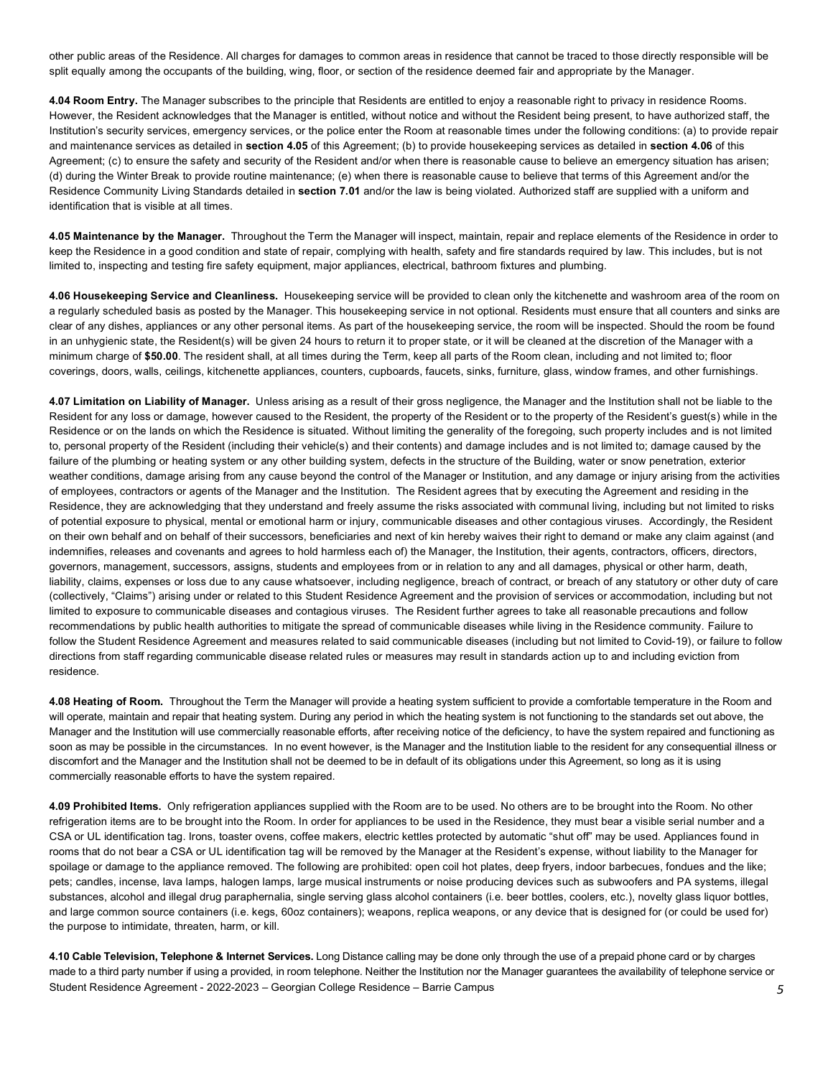other public areas of the Residence. All charges for damages to common areas in residence that cannot be traced to those directly responsible will be split equally among the occupants of the building, wing, floor, or section of the residence deemed fair and appropriate by the Manager.

 **4.04 Room Entry.** The Manager subscribes to the principle that Residents are entitled to enjoy a reasonable right to privacy in residence Rooms. However, the Resident acknowledges that the Manager is entitled, without notice and without the Resident being present, to have authorized staff, the Institution's security services, emergency services, or the police enter the Room at reasonable times under the following conditions: (a) to provide repair and maintenance services as detailed in **section 4.05** of this Agreement; (b) to provide housekeeping services as detailed in **section 4.06** of this Agreement; (c) to ensure the safety and security of the Resident and/or when there is reasonable cause to believe an emergency situation has arisen; (d) during the Winter Break to provide routine maintenance; (e) when there is reasonable cause to believe that terms of this Agreement and/or the Residence Community Living Standards detailed in **section 7.01** and/or the law is being violated. Authorized staff are supplied with a uniform and identification that is visible at all times.

 **4.05 Maintenance by the Manager.** Throughout the Term the Manager will inspect, maintain, repair and replace elements of the Residence in order to keep the Residence in a good condition and state of repair, complying with health, safety and fire standards required by law. This includes, but is not limited to, inspecting and testing fire safety equipment, major appliances, electrical, bathroom fixtures and plumbing.

 **4.06 Housekeeping Service and Cleanliness.** Housekeeping service will be provided to clean only the kitchenette and washroom area of the room on a regularly scheduled basis as posted by the Manager. This housekeeping service in not optional. Residents must ensure that all counters and sinks are clear of any dishes, appliances or any other personal items. As part of the housekeeping service, the room will be inspected. Should the room be found in an unhygienic state, the Resident(s) will be given 24 hours to return it to proper state, or it will be cleaned at the discretion of the Manager with a minimum charge of **\$50.00**. The resident shall, at all times during the Term, keep all parts of the Room clean, including and not limited to; floor coverings, doors, walls, ceilings, kitchenette appliances, counters, cupboards, faucets, sinks, furniture, glass, window frames, and other furnishings.

 **4.07 Limitation on Liability of Manager.** Unless arising as a result of their gross negligence, the Manager and the Institution shall not be liable to the Resident for any loss or damage, however caused to the Resident, the property of the Resident or to the property of the Resident's guest(s) while in the Residence or on the lands on which the Residence is situated. Without limiting the generality of the foregoing, such property includes and is not limited to, personal property of the Resident (including their vehicle(s) and their contents) and damage includes and is not limited to; damage caused by the failure of the plumbing or heating system or any other building system, defects in the structure of the Building, water or snow penetration, exterior weather conditions, damage arising from any cause beyond the control of the Manager or Institution, and any damage or injury arising from the activities of employees, contractors or agents of the Manager and the Institution. The Resident agrees that by executing the Agreement and residing in the Residence, they are acknowledging that they understand and freely assume the risks associated with communal living, including but not limited to risks of potential exposure to physical, mental or emotional harm or injury, communicable diseases and other contagious viruses. Accordingly, the Resident on their own behalf and on behalf of their successors, beneficiaries and next of kin hereby waives their right to demand or make any claim against (and indemnifies, releases and covenants and agrees to hold harmless each of) the Manager, the Institution, their agents, contractors, officers, directors, governors, management, successors, assigns, students and employees from or in relation to any and all damages, physical or other harm, death, liability, claims, expenses or loss due to any cause whatsoever, including negligence, breach of contract, or breach of any statutory or other duty of care (collectively, "Claims") arising under or related to this Student Residence Agreement and the provision of services or accommodation, including but not limited to exposure to communicable diseases and contagious viruses. The Resident further agrees to take all reasonable precautions and follow recommendations by public health authorities to mitigate the spread of communicable diseases while living in the Residence community. Failure to follow the Student Residence Agreement and measures related to said communicable diseases (including but not limited to Covid-19), or failure to follow directions from staff regarding communicable disease related rules or measures may result in standards action up to and including eviction from residence.

 **4.08 Heating of Room.** Throughout the Term the Manager will provide a heating system sufficient to provide a comfortable temperature in the Room and will operate, maintain and repair that heating system. During any period in which the heating system is not functioning to the standards set out above, the Manager and the Institution will use commercially reasonable efforts, after receiving notice of the deficiency, to have the system repaired and functioning as soon as may be possible in the circumstances. In no event however, is the Manager and the Institution liable to the resident for any consequential illness or discomfort and the Manager and the Institution shall not be deemed to be in default of its obligations under this Agreement, so long as it is using commercially reasonable efforts to have the system repaired.

 **4.09 Prohibited Items.** Only refrigeration appliances supplied with the Room are to be used. No others are to be brought into the Room. No other refrigeration items are to be brought into the Room. In order for appliances to be used in the Residence, they must bear a visible serial number and a CSA or UL identification tag. Irons, toaster ovens, coffee makers, electric kettles protected by automatic "shut off" may be used. Appliances found in rooms that do not bear a CSA or UL identification tag will be removed by the Manager at the Resident's expense, without liability to the Manager for spoilage or damage to the appliance removed. The following are prohibited: open coil hot plates, deep fryers, indoor barbecues, fondues and the like; pets; candles, incense, lava lamps, halogen lamps, large musical instruments or noise producing devices such as subwoofers and PA systems, illegal substances, alcohol and illegal drug paraphernalia, single serving glass alcohol containers (i.e. beer bottles, coolers, etc.), novelty glass liquor bottles, and large common source containers (i.e. kegs, 60oz containers); weapons, replica weapons, or any device that is designed for (or could be used for) the purpose to intimidate, threaten, harm, or kill.

 Student Residence Agreement - 2022-2023 – Georgian College Residence – Barrie Campus *5*  **4.10 Cable Television, Telephone & Internet Services.** Long Distance calling may be done only through the use of a prepaid phone card or by charges made to a third party number if using a provided, in room telephone. Neither the Institution nor the Manager guarantees the availability of telephone service or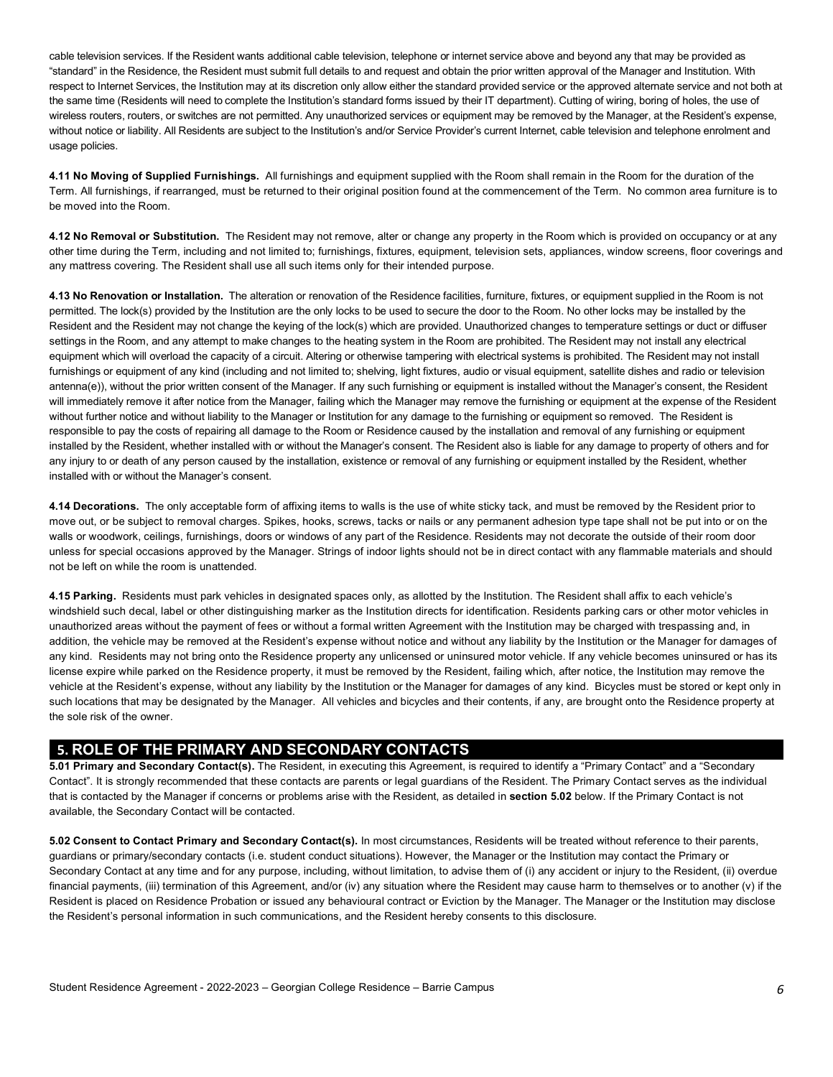cable television services. If the Resident wants additional cable television, telephone or internet service above and beyond any that may be provided as "standard" in the Residence, the Resident must submit full details to and request and obtain the prior written approval of the Manager and Institution. With respect to Internet Services, the Institution may at its discretion only allow either the standard provided service or the approved alternate service and not both at the same time (Residents will need to complete the Institution's standard forms issued by their IT department). Cutting of wiring, boring of holes, the use of wireless routers, routers, or switches are not permitted. Any unauthorized services or equipment may be removed by the Manager, at the Resident's expense, without notice or liability. All Residents are subject to the Institution's and/or Service Provider's current Internet, cable television and telephone enrolment and usage policies.

 **4.11 No Moving of Supplied Furnishings.** All furnishings and equipment supplied with the Room shall remain in the Room for the duration of the Term. All furnishings, if rearranged, must be returned to their original position found at the commencement of the Term. No common area furniture is to be moved into the Room.

 **4.12 No Removal or Substitution.** The Resident may not remove, alter or change any property in the Room which is provided on occupancy or at any other time during the Term, including and not limited to; furnishings, fixtures, equipment, television sets, appliances, window screens, floor coverings and any mattress covering. The Resident shall use all such items only for their intended purpose.

 **4.13 No Renovation or Installation.** The alteration or renovation of the Residence facilities, furniture, fixtures, or equipment supplied in the Room is not permitted. The lock(s) provided by the Institution are the only locks to be used to secure the door to the Room. No other locks may be installed by the Resident and the Resident may not change the keying of the lock(s) which are provided. Unauthorized changes to temperature settings or duct or diffuser settings in the Room, and any attempt to make changes to the heating system in the Room are prohibited. The Resident may not install any electrical equipment which will overload the capacity of a circuit. Altering or otherwise tampering with electrical systems is prohibited. The Resident may not install antenna(e)), without the prior written consent of the Manager. If any such furnishing or equipment is installed without the Manager's consent, the Resident will immediately remove it after notice from the Manager, failing which the Manager may remove the furnishing or equipment at the expense of the Resident without further notice and without liability to the Manager or Institution for any damage to the furnishing or equipment so removed. The Resident is responsible to pay the costs of repairing all damage to the Room or Residence caused by the installation and removal of any furnishing or equipment installed by the Resident, whether installed with or without the Manager's consent. The Resident also is liable for any damage to property of others and for any injury to or death of any person caused by the installation, existence or removal of any furnishing or equipment installed by the Resident, whether installed with or without the Manager's consent. furnishings or equipment of any kind (including and not limited to; shelving, light fixtures, audio or visual equipment, satellite dishes and radio or television

 move out, or be subject to removal charges. Spikes, hooks, screws, tacks or nails or any permanent adhesion type tape shall not be put into or on the walls or woodwork, ceilings, furnishings, doors or windows of any part of the Residence. Residents may not decorate the outside of their room door unless for special occasions approved by the Manager. Strings of indoor lights should not be in direct contact with any flammable materials and should not be left on while the room is unattended. **4.14 Decorations.** The only acceptable form of affixing items to walls is the use of white sticky tack, and must be removed by the Resident prior to

 **4.15 Parking.** Residents must park vehicles in designated spaces only, as allotted by the Institution. The Resident shall affix to each vehicle's windshield such decal, label or other distinguishing marker as the Institution directs for identification. Residents parking cars or other motor vehicles in unauthorized areas without the payment of fees or without a formal written Agreement with the Institution may be charged with trespassing and, in addition, the vehicle may be removed at the Resident's expense without notice and without any liability by the Institution or the Manager for damages of any kind. Residents may not bring onto the Residence property any unlicensed or uninsured motor vehicle. If any vehicle becomes uninsured or has its license expire while parked on the Residence property, it must be removed by the Resident, failing which, after notice, the Institution may remove the vehicle at the Resident's expense, without any liability by the Institution or the Manager for damages of any kind. Bicycles must be stored or kept only in such locations that may be designated by the Manager. All vehicles and bicycles and their contents, if any, are brought onto the Residence property at the sole risk of the owner.

# **5. ROLE OF THE PRIMARY AND SECONDARY CONTACTS**

 **5.01 Primary and Secondary Contact(s).** The Resident, in executing this Agreement, is required to identify a "Primary Contact" and a "Secondary Contact". It is strongly recommended that these contacts are parents or legal guardians of the Resident. The Primary Contact serves as the individual that is contacted by the Manager if concerns or problems arise with the Resident, as detailed in **section 5.02** below. If the Primary Contact is not available, the Secondary Contact will be contacted.

 **5.02 Consent to Contact Primary and Secondary Contact(s).** In most circumstances, Residents will be treated without reference to their parents, guardians or primary/secondary contacts (i.e. student conduct situations). However, the Manager or the Institution may contact the Primary or Secondary Contact at any time and for any purpose, including, without limitation, to advise them of (i) any accident or injury to the Resident, (ii) overdue financial payments, (iii) termination of this Agreement, and/or (iv) any situation where the Resident may cause harm to themselves or to another (v) if the Resident is placed on Residence Probation or issued any behavioural contract or Eviction by the Manager. The Manager or the Institution may disclose the Resident's personal information in such communications, and the Resident hereby consents to this disclosure.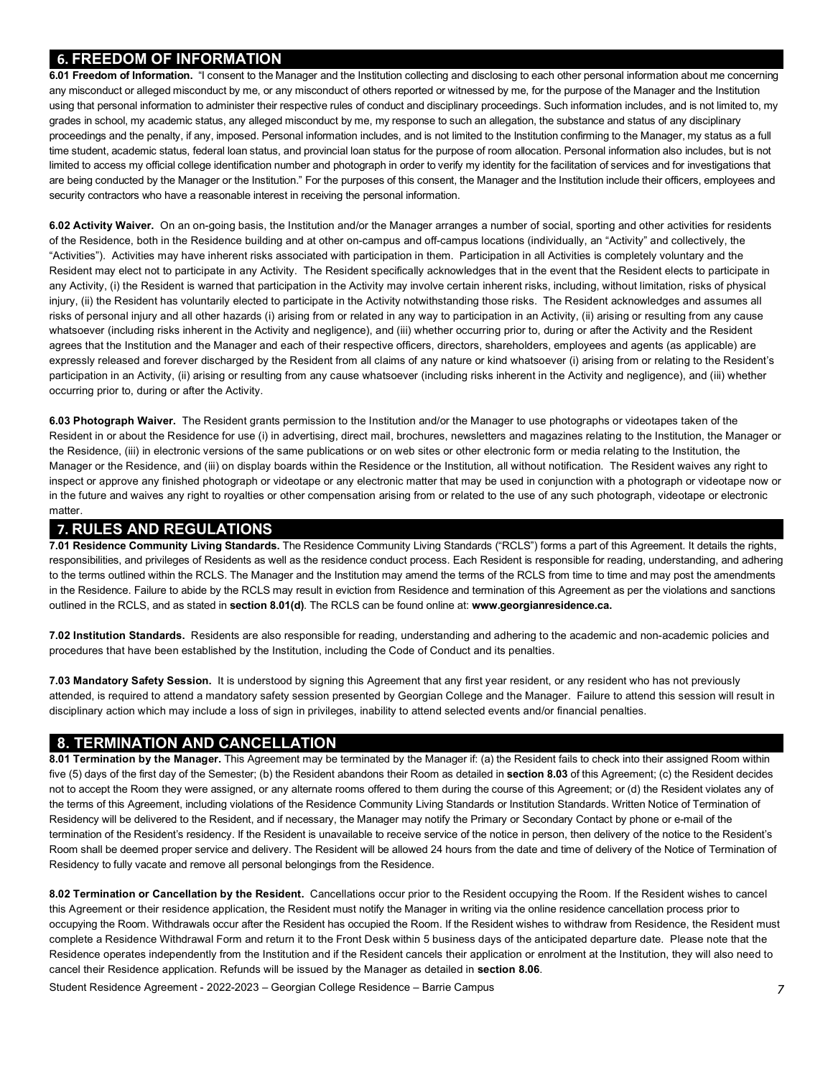# **6. FREEDOM OF INFORMATION**

 **6.01 Freedom of Information.** "I consent to the Manager and the Institution collecting and disclosing to each other personal information about me concerning any misconduct or alleged misconduct by me, or any misconduct of others reported or witnessed by me, for the purpose of the Manager and the Institution using that personal information to administer their respective rules of conduct and disciplinary proceedings. Such information includes, and is not limited to, my grades in school, my academic status, any alleged misconduct by me, my response to such an allegation, the substance and status of any disciplinary proceedings and the penalty, if any, imposed. Personal information includes, and is not limited to the Institution confirming to the Manager, my status as a full time student, academic status, federal loan status, and provincial loan status for the purpose of room allocation. Personal information also includes, but is not limited to access my official college identification number and photograph in order to verify my identity for the facilitation of services and for investigations that are being conducted by the Manager or the Institution." For the purposes of this consent, the Manager and the Institution include their officers, employees and security contractors who have a reasonable interest in receiving the personal information.

 **6.02 Activity Waiver.** On an on-going basis, the Institution and/or the Manager arranges a number of social, sporting and other activities for residents of the Residence, both in the Residence building and at other on-campus and off-campus locations (individually, an "Activity" and collectively, the "Activities"). Activities may have inherent risks associated with participation in them. Participation in all Activities is completely voluntary and the Resident may elect not to participate in any Activity. The Resident specifically acknowledges that in the event that the Resident elects to participate in any Activity, (i) the Resident is warned that participation in the Activity may involve certain inherent risks, including, without limitation, risks of physical injury, (ii) the Resident has voluntarily elected to participate in the Activity notwithstanding those risks. The Resident acknowledges and assumes all risks of personal injury and all other hazards (i) arising from or related in any way to participation in an Activity, (ii) arising or resulting from any cause whatsoever (including risks inherent in the Activity and negligence), and (iii) whether occurring prior to, during or after the Activity and the Resident agrees that the Institution and the Manager and each of their respective officers, directors, shareholders, employees and agents (as applicable) are expressly released and forever discharged by the Resident from all claims of any nature or kind whatsoever (i) arising from or relating to the Resident's participation in an Activity, (ii) arising or resulting from any cause whatsoever (including risks inherent in the Activity and negligence), and (iii) whether occurring prior to, during or after the Activity.

 **6.03 Photograph Waiver.** The Resident grants permission to the Institution and/or the Manager to use photographs or videotapes taken of the Resident in or about the Residence for use (i) in advertising, direct mail, brochures, newsletters and magazines relating to the Institution, the Manager or the Residence, (iii) in electronic versions of the same publications or on web sites or other electronic form or media relating to the Institution, the Manager or the Residence, and (iii) on display boards within the Residence or the Institution, all without notification. The Resident waives any right to inspect or approve any finished photograph or videotape or any electronic matter that may be used in conjunction with a photograph or videotape now or in the future and waives any right to royalties or other compensation arising from or related to the use of any such photograph, videotape or electronic matter.

# **7. RULES AND REGULATIONS**

 responsibilities, and privileges of Residents as well as the residence conduct process. Each Resident is responsible for reading, understanding, and adhering to the terms outlined within the RCLS. The Manager and the Institution may amend the terms of the RCLS from time to time and may post the amendments in the Residence. Failure to abide by the RCLS may result in eviction from Residence and termination of this Agreement as per the violations and sanctions outlined in the RCLS, and as stated in **section 8.01(d)**. The RCLS can be found online at: **[www.georgianresidence.ca.](www.georgianresidence.ca) 7.01 Residence Community Living Standards.** The Residence Community Living Standards ("RCLS") forms a part of this Agreement. It details the rights,

 **7.02 Institution Standards.** Residents are also responsible for reading, understanding and adhering to the academic and non-academic policies and procedures that have been established by the Institution, including the Code of Conduct and its penalties.

 **7.03 Mandatory Safety Session.** It is understood by signing this Agreement that any first year resident, or any resident who has not previously attended, is required to attend a mandatory safety session presented by Georgian College and the Manager. Failure to attend this session will result in disciplinary action which may include a loss of sign in privileges, inability to attend selected events and/or financial penalties.

# **8. TERMINATION AND CANCELLATION**

 five (5) days of the first day of the Semester; (b) the Resident abandons their Room as detailed in **section 8.03** of this Agreement; (c) the Resident decides not to accept the Room they were assigned, or any alternate rooms offered to them during the course of this Agreement; or (d) the Resident violates any of the terms of this Agreement, including violations of the Residence Community Living Standards or Institution Standards. Written Notice of Termination of Residency will be delivered to the Resident, and if necessary, the Manager may notify the Primary or Secondary Contact by phone or e-mail of the Room shall be deemed proper service and delivery. The Resident will be allowed 24 hours from the date and time of delivery of the Notice of Termination of Residency to fully vacate and remove all personal belongings from the Residence. **8.01 Termination by the Manager.** This Agreement may be terminated by the Manager if: (a) the Resident fails to check into their assigned Room within termination of the Resident's residency. If the Resident is unavailable to receive service of the notice in person, then delivery of the notice to the Resident's

 **8.02 Termination or Cancellation by the Resident.** Cancellations occur prior to the Resident occupying the Room. If the Resident wishes to cancel this Agreement or their residence application, the Resident must notify the Manager in writing via the online residence cancellation process prior to occupying the Room. Withdrawals occur after the Resident has occupied the Room. If the Resident wishes to withdraw from Residence, the Resident must complete a Residence Withdrawal Form and return it to the Front Desk within 5 business days of the anticipated departure date. Please note that the Residence operates independently from the Institution and if the Resident cancels their application or enrolment at the Institution, they will also need to cancel their Residence application. Refunds will be issued by the Manager as detailed in **section 8.06**.

Student Residence Agreement - 2022-2023 – Georgian College Residence – Barrie Campus *7*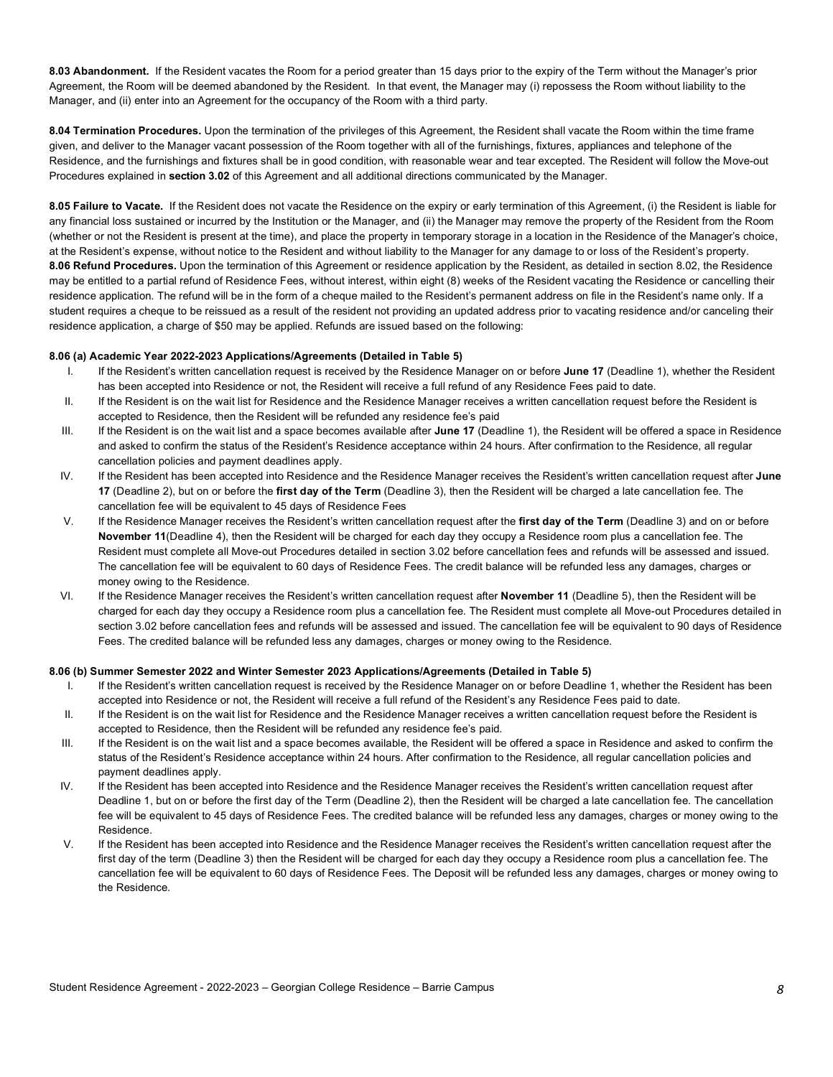**8.03 Abandonment.** If the Resident vacates the Room for a period greater than 15 days prior to the expiry of the Term without the Manager's prior Agreement, the Room will be deemed abandoned by the Resident. In that event, the Manager may (i) repossess the Room without liability to the Manager, and (ii) enter into an Agreement for the occupancy of the Room with a third party.

 **8.04 Termination Procedures.** Upon the termination of the privileges of this Agreement, the Resident shall vacate the Room within the time frame given, and deliver to the Manager vacant possession of the Room together with all of the furnishings, fixtures, appliances and telephone of the Residence, and the furnishings and fixtures shall be in good condition, with reasonable wear and tear excepted. The Resident will follow the Move-out Procedures explained in **section 3.02** of this Agreement and all additional directions communicated by the Manager.

 **8.05 Failure to Vacate.** If the Resident does not vacate the Residence on the expiry or early termination of this Agreement, (i) the Resident is liable for any financial loss sustained or incurred by the Institution or the Manager, and (ii) the Manager may remove the property of the Resident from the Room (whether or not the Resident is present at the time), and place the property in temporary storage in a location in the Residence of the Manager's choice, at the Resident's expense, without notice to the Resident and without liability to the Manager for any damage to or loss of the Resident's property. **8.06 Refund Procedures.** Upon the termination of this Agreement or residence application by the Resident, as detailed in section 8.02, the Residence may be entitled to a partial refund of Residence Fees, without interest, within eight (8) weeks of the Resident vacating the Residence or cancelling their residence application. The refund will be in the form of a cheque mailed to the Resident's permanent address on file in the Resident's name only. If a student requires a cheque to be reissued as a result of the resident not providing an updated address prior to vacating residence and/or canceling their residence application, a charge of \$50 may be applied. Refunds are issued based on the following:

### **8.06 (a) Academic Year 2022-2023 Applications/Agreements (Detailed in Table 5)**

- I. If the Resident's written cancellation request is received by the Residence Manager on or before **June 17** (Deadline 1), whether the Resident has been accepted into Residence or not, the Resident will receive a full refund of any Residence Fees paid to date.
- II. If the Resident is on the wait list for Residence and the Residence Manager receives a written cancellation request before the Resident is accepted to Residence, then the Resident will be refunded any residence fee's paid
- III. If the Resident is on the wait list and a space becomes available after **June 17** (Deadline 1), the Resident will be offered a space in Residence and asked to confirm the status of the Resident's Residence acceptance within 24 hours. After confirmation to the Residence, all regular cancellation policies and payment deadlines apply.
- **17** (Deadline 2), but on or before the **first day of the Term** (Deadline 3), then the Resident will be charged a late cancellation fee. The cancellation fee will be equivalent to 45 days of Residence Fees IV. If the Resident has been accepted into Residence and the Residence Manager receives the Resident's written cancellation request after **June**
- V. If the Residence Manager receives the Resident's written cancellation request after the **first day of the Term** (Deadline 3) and on or before **November 11**(Deadline 4), then the Resident will be charged for each day they occupy a Residence room plus a cancellation fee. The Resident must complete all Move-out Procedures detailed in section 3.02 before cancellation fees and refunds will be assessed and issued. The cancellation fee will be equivalent to 60 days of Residence Fees. The credit balance will be refunded less any damages, charges or money owing to the Residence.
- VI. If the Residence Manager receives the Resident's written cancellation request after **November 11** (Deadline 5), then the Resident will be charged for each day they occupy a Residence room plus a cancellation fee. The Resident must complete all Move-out Procedures detailed in section 3.02 before cancellation fees and refunds will be assessed and issued. The cancellation fee will be equivalent to 90 days of Residence Fees. The credited balance will be refunded less any damages, charges or money owing to the Residence.

### **8.06 (b) Summer Semester 2022 and Winter Semester 2023 Applications/Agreements (Detailed in Table 5)**

- I. If the Resident's written cancellation request is received by the Residence Manager on or before Deadline 1, whether the Resident has been accepted into Residence or not, the Resident will receive a full refund of the Resident's any Residence Fees paid to date.
- II. If the Resident is on the wait list for Residence and the Residence Manager receives a written cancellation request before the Resident is accepted to Residence, then the Resident will be refunded any residence fee's paid.
- III. If the Resident is on the wait list and a space becomes available, the Resident will be offered a space in Residence and asked to confirm the status of the Resident's Residence acceptance within 24 hours. After confirmation to the Residence, all regular cancellation policies and payment deadlines apply.
- IV. If the Resident has been accepted into Residence and the Residence Manager receives the Resident's written cancellation request after Deadline 1, but on or before the first day of the Term (Deadline 2), then the Resident will be charged a late cancellation fee. The cancellation fee will be equivalent to 45 days of Residence Fees. The credited balance will be refunded less any damages, charges or money owing to the Residence.
- V. If the Resident has been accepted into Residence and the Residence Manager receives the Resident's written cancellation request after the first day of the term (Deadline 3) then the Resident will be charged for each day they occupy a Residence room plus a cancellation fee. The cancellation fee will be equivalent to 60 days of Residence Fees. The Deposit will be refunded less any damages, charges or money owing to the Residence. the Residence. Student Residence Agreement - 2022-2023 – Georgian College Residence – Barrie Campus *<sup>8</sup>*